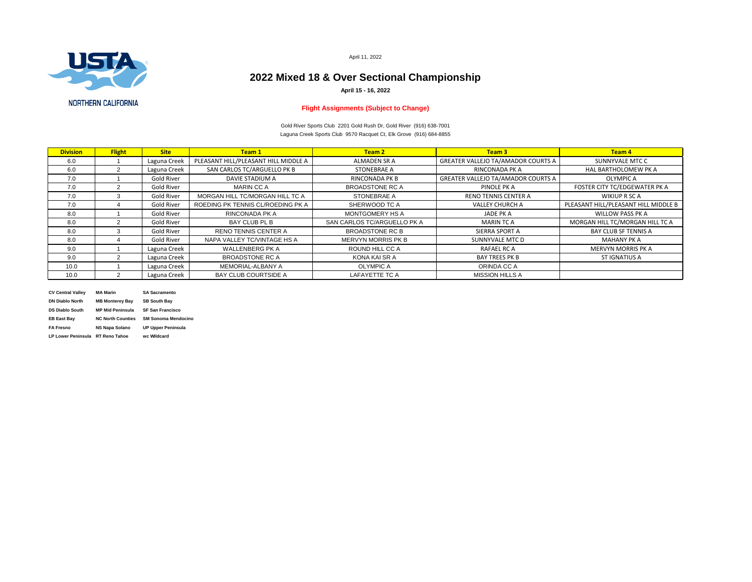| <b>Division</b> | <b>Flight</b>  | <b>Site</b>       | Team 1                               | <b>Team 2</b>               | Team 3                                    | <b>Team 4</b>                        |
|-----------------|----------------|-------------------|--------------------------------------|-----------------------------|-------------------------------------------|--------------------------------------|
| 6.0             |                | Laguna Creek      | PLEASANT HILL/PLEASANT HILL MIDDLE A | <b>ALMADEN SR A</b>         | <b>GREATER VALLEJO TA/AMADOR COURTS A</b> | SUNNYVALE MTC C                      |
| 6.0             |                | Laguna Creek      | SAN CARLOS TC/ARGUELLO PK B          | <b>STONEBRAE A</b>          | <b>RINCONADA PK A</b>                     | <b>HAL BARTHOLOMEW PK A</b>          |
| 7.0             |                | <b>Gold River</b> | <b>DAVIE STADIUM A</b>               | <b>RINCONADA PK B</b>       | <b>GREATER VALLEJO TA/AMADOR COURTS A</b> | <b>OLYMPIC A</b>                     |
| 7.0             |                | <b>Gold River</b> | <b>MARIN CC A</b>                    | <b>BROADSTONE RC A</b>      | PINOLE PK A                               | FOSTER CITY TC/EDGEWATER PK A        |
| 7.0             | $\mathcal{S}$  | <b>Gold River</b> | MORGAN HILL TC/MORGAN HILL TC A      | <b>STONEBRAE A</b>          | <b>RENO TENNIS CENTER A</b>               | WIKIUP R SC A                        |
| 7.0             |                | <b>Gold River</b> | ROEDING PK TENNIS CL/ROEDING PK A    | SHERWOOD TC A               | <b>VALLEY CHURCH A</b>                    | PLEASANT HILL/PLEASANT HILL MIDDLE B |
| 8.0             |                | <b>Gold River</b> | RINCONADA PK A                       | <b>MONTGOMERY HS A</b>      | <b>JADE PK A</b>                          | <b>WILLOW PASS PK A</b>              |
| 8.0             |                | <b>Gold River</b> | <b>BAY CLUB PL B</b>                 | SAN CARLOS TC/ARGUELLO PK A | <b>MARIN TC A</b>                         | MORGAN HILL TC/MORGAN HILL TC A      |
| 8.0             | 3              | <b>Gold River</b> | <b>RENO TENNIS CENTER A</b>          | <b>BROADSTONE RC B</b>      | <b>SIERRA SPORT A</b>                     | <b>BAY CLUB SF TENNIS A</b>          |
| 8.0             | $\overline{4}$ | <b>Gold River</b> | NAPA VALLEY TC/VINTAGE HS A          | <b>MERVYN MORRIS PK B</b>   | <b>SUNNYVALE MTC D</b>                    | <b>MAHANY PK A</b>                   |
| 9.0             |                | Laguna Creek      | <b>WALLENBERG PK A</b>               | <b>ROUND HILL CC A</b>      | <b>RAFAEL RC A</b>                        | <b>MERVYN MORRIS PK A</b>            |
| 9.0             |                | Laguna Creek      | <b>BROADSTONE RC A</b>               | KONA KAI SR A               | <b>BAY TREES PK B</b>                     | <b>ST IGNATIUS A</b>                 |
| 10.0            |                | Laguna Creek      | <b>MEMORIAL-ALBANY A</b>             | <b>OLYMPIC A</b>            | ORINDA CC A                               |                                      |
| 10.0            | 2              | Laguna Creek      | <b>BAY CLUB COURTSIDE A</b>          | <b>LAFAYETTE TC A</b>       | <b>MISSION HILLS A</b>                    |                                      |
|                 |                |                   |                                      |                             |                                           |                                      |

| <b>CV Central Valley</b>  | <b>MA Marin</b>          | <b>SA Sacramento</b>       |
|---------------------------|--------------------------|----------------------------|
| <b>DN Diablo North</b>    | <b>MB Monterey Bay</b>   | <b>SB South Bay</b>        |
| <b>DS Diablo South</b>    | <b>MP Mid Peninsula</b>  | <b>SF San Francisco</b>    |
| <b>EB East Bay</b>        | <b>NC North Counties</b> | <b>SM Sonoma Mendocino</b> |
| <b>FA Fresno</b>          | <b>NS Napa Solano</b>    | <b>UP Upper Peninsula</b>  |
| <b>LP Lower Peninsula</b> | <b>RT Reno Tahoe</b>     | wc Wildcard                |
|                           |                          |                            |

April 11, 2022

# **2022 Mixed 18 & Over Sectional Championship**



### **NORTHERN CALIFORNIA**

Laguna Creek Sports Club 9570 Racquet Ct, Elk Grove (916) 684-8855 Gold River Sports Club 2201 Gold Rush Dr, Gold River (916) 638-7001

**April 15 - 16, 2022**



### **Flight Assignments (Subject to Change)**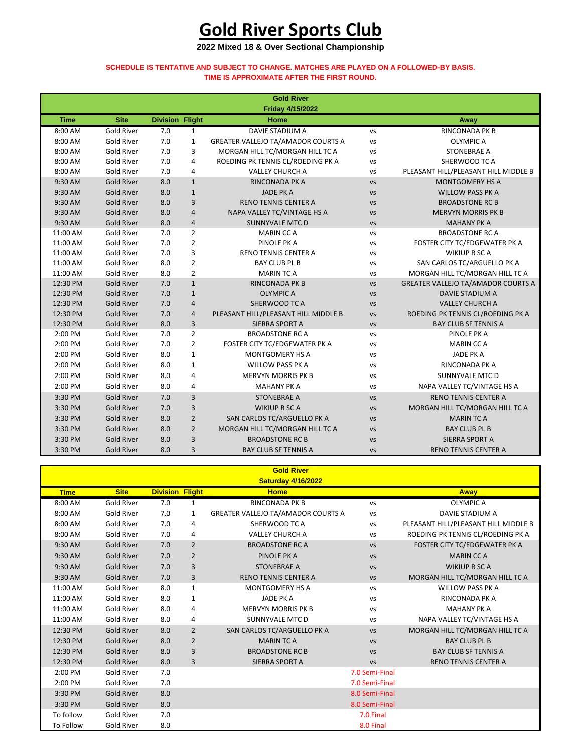## **Gold River Sports Club**

**2022 Mixed 18 & Over Sectional Championship**

#### **SCHEDULE IS TENTATIVE AND SUBJECT TO CHANGE. MATCHES ARE PLAYED ON A FOLLOWED-BY BASIS. TIME IS APPROXIMATE AFTER THE FIRST ROUND.**

|                                                                                                                                                                                                                                                                                                                                                                                                                                                                                                                                                                                                                                                                                                             |                                                                                                                                                                                                                                    | <b>Gold River</b>                                                                                                                                                                                                                                                                                                                                                                                                                                                             |                                                                                                                                                                                                                                                                                                                                                                                                                                                                                                                                                                                                                                                                                                                                                                                                                                                                                                                   |                                                                                                                                                                                                                                                                                                                                   |
|-------------------------------------------------------------------------------------------------------------------------------------------------------------------------------------------------------------------------------------------------------------------------------------------------------------------------------------------------------------------------------------------------------------------------------------------------------------------------------------------------------------------------------------------------------------------------------------------------------------------------------------------------------------------------------------------------------------|------------------------------------------------------------------------------------------------------------------------------------------------------------------------------------------------------------------------------------|-------------------------------------------------------------------------------------------------------------------------------------------------------------------------------------------------------------------------------------------------------------------------------------------------------------------------------------------------------------------------------------------------------------------------------------------------------------------------------|-------------------------------------------------------------------------------------------------------------------------------------------------------------------------------------------------------------------------------------------------------------------------------------------------------------------------------------------------------------------------------------------------------------------------------------------------------------------------------------------------------------------------------------------------------------------------------------------------------------------------------------------------------------------------------------------------------------------------------------------------------------------------------------------------------------------------------------------------------------------------------------------------------------------|-----------------------------------------------------------------------------------------------------------------------------------------------------------------------------------------------------------------------------------------------------------------------------------------------------------------------------------|
|                                                                                                                                                                                                                                                                                                                                                                                                                                                                                                                                                                                                                                                                                                             |                                                                                                                                                                                                                                    |                                                                                                                                                                                                                                                                                                                                                                                                                                                                               |                                                                                                                                                                                                                                                                                                                                                                                                                                                                                                                                                                                                                                                                                                                                                                                                                                                                                                                   | <b>Away</b>                                                                                                                                                                                                                                                                                                                       |
|                                                                                                                                                                                                                                                                                                                                                                                                                                                                                                                                                                                                                                                                                                             |                                                                                                                                                                                                                                    |                                                                                                                                                                                                                                                                                                                                                                                                                                                                               |                                                                                                                                                                                                                                                                                                                                                                                                                                                                                                                                                                                                                                                                                                                                                                                                                                                                                                                   | <b>RINCONADA PK B</b>                                                                                                                                                                                                                                                                                                             |
|                                                                                                                                                                                                                                                                                                                                                                                                                                                                                                                                                                                                                                                                                                             |                                                                                                                                                                                                                                    |                                                                                                                                                                                                                                                                                                                                                                                                                                                                               |                                                                                                                                                                                                                                                                                                                                                                                                                                                                                                                                                                                                                                                                                                                                                                                                                                                                                                                   | <b>OLYMPIC A</b>                                                                                                                                                                                                                                                                                                                  |
|                                                                                                                                                                                                                                                                                                                                                                                                                                                                                                                                                                                                                                                                                                             |                                                                                                                                                                                                                                    |                                                                                                                                                                                                                                                                                                                                                                                                                                                                               |                                                                                                                                                                                                                                                                                                                                                                                                                                                                                                                                                                                                                                                                                                                                                                                                                                                                                                                   | <b>STONEBRAE A</b>                                                                                                                                                                                                                                                                                                                |
|                                                                                                                                                                                                                                                                                                                                                                                                                                                                                                                                                                                                                                                                                                             |                                                                                                                                                                                                                                    |                                                                                                                                                                                                                                                                                                                                                                                                                                                                               |                                                                                                                                                                                                                                                                                                                                                                                                                                                                                                                                                                                                                                                                                                                                                                                                                                                                                                                   | SHERWOOD TC A                                                                                                                                                                                                                                                                                                                     |
|                                                                                                                                                                                                                                                                                                                                                                                                                                                                                                                                                                                                                                                                                                             |                                                                                                                                                                                                                                    |                                                                                                                                                                                                                                                                                                                                                                                                                                                                               |                                                                                                                                                                                                                                                                                                                                                                                                                                                                                                                                                                                                                                                                                                                                                                                                                                                                                                                   | PLEASANT HILL/PLEASANT HILL MIDDLE B                                                                                                                                                                                                                                                                                              |
|                                                                                                                                                                                                                                                                                                                                                                                                                                                                                                                                                                                                                                                                                                             |                                                                                                                                                                                                                                    |                                                                                                                                                                                                                                                                                                                                                                                                                                                                               |                                                                                                                                                                                                                                                                                                                                                                                                                                                                                                                                                                                                                                                                                                                                                                                                                                                                                                                   | <b>MONTGOMERY HS A</b>                                                                                                                                                                                                                                                                                                            |
|                                                                                                                                                                                                                                                                                                                                                                                                                                                                                                                                                                                                                                                                                                             |                                                                                                                                                                                                                                    |                                                                                                                                                                                                                                                                                                                                                                                                                                                                               |                                                                                                                                                                                                                                                                                                                                                                                                                                                                                                                                                                                                                                                                                                                                                                                                                                                                                                                   | <b>WILLOW PASS PK A</b>                                                                                                                                                                                                                                                                                                           |
|                                                                                                                                                                                                                                                                                                                                                                                                                                                                                                                                                                                                                                                                                                             |                                                                                                                                                                                                                                    |                                                                                                                                                                                                                                                                                                                                                                                                                                                                               |                                                                                                                                                                                                                                                                                                                                                                                                                                                                                                                                                                                                                                                                                                                                                                                                                                                                                                                   | <b>BROADSTONE RC B</b>                                                                                                                                                                                                                                                                                                            |
|                                                                                                                                                                                                                                                                                                                                                                                                                                                                                                                                                                                                                                                                                                             |                                                                                                                                                                                                                                    |                                                                                                                                                                                                                                                                                                                                                                                                                                                                               |                                                                                                                                                                                                                                                                                                                                                                                                                                                                                                                                                                                                                                                                                                                                                                                                                                                                                                                   | <b>MERVYN MORRIS PK B</b>                                                                                                                                                                                                                                                                                                         |
|                                                                                                                                                                                                                                                                                                                                                                                                                                                                                                                                                                                                                                                                                                             |                                                                                                                                                                                                                                    |                                                                                                                                                                                                                                                                                                                                                                                                                                                                               |                                                                                                                                                                                                                                                                                                                                                                                                                                                                                                                                                                                                                                                                                                                                                                                                                                                                                                                   | <b>MAHANY PK A</b>                                                                                                                                                                                                                                                                                                                |
|                                                                                                                                                                                                                                                                                                                                                                                                                                                                                                                                                                                                                                                                                                             |                                                                                                                                                                                                                                    |                                                                                                                                                                                                                                                                                                                                                                                                                                                                               |                                                                                                                                                                                                                                                                                                                                                                                                                                                                                                                                                                                                                                                                                                                                                                                                                                                                                                                   | <b>BROADSTONE RC A</b>                                                                                                                                                                                                                                                                                                            |
|                                                                                                                                                                                                                                                                                                                                                                                                                                                                                                                                                                                                                                                                                                             |                                                                                                                                                                                                                                    |                                                                                                                                                                                                                                                                                                                                                                                                                                                                               |                                                                                                                                                                                                                                                                                                                                                                                                                                                                                                                                                                                                                                                                                                                                                                                                                                                                                                                   | FOSTER CITY TC/EDGEWATER PK A                                                                                                                                                                                                                                                                                                     |
|                                                                                                                                                                                                                                                                                                                                                                                                                                                                                                                                                                                                                                                                                                             |                                                                                                                                                                                                                                    |                                                                                                                                                                                                                                                                                                                                                                                                                                                                               |                                                                                                                                                                                                                                                                                                                                                                                                                                                                                                                                                                                                                                                                                                                                                                                                                                                                                                                   | <b>WIKIUP R SC A</b>                                                                                                                                                                                                                                                                                                              |
|                                                                                                                                                                                                                                                                                                                                                                                                                                                                                                                                                                                                                                                                                                             |                                                                                                                                                                                                                                    |                                                                                                                                                                                                                                                                                                                                                                                                                                                                               |                                                                                                                                                                                                                                                                                                                                                                                                                                                                                                                                                                                                                                                                                                                                                                                                                                                                                                                   | SAN CARLOS TC/ARGUELLO PK A                                                                                                                                                                                                                                                                                                       |
|                                                                                                                                                                                                                                                                                                                                                                                                                                                                                                                                                                                                                                                                                                             |                                                                                                                                                                                                                                    |                                                                                                                                                                                                                                                                                                                                                                                                                                                                               |                                                                                                                                                                                                                                                                                                                                                                                                                                                                                                                                                                                                                                                                                                                                                                                                                                                                                                                   | MORGAN HILL TC/MORGAN HILL TC A                                                                                                                                                                                                                                                                                                   |
|                                                                                                                                                                                                                                                                                                                                                                                                                                                                                                                                                                                                                                                                                                             |                                                                                                                                                                                                                                    |                                                                                                                                                                                                                                                                                                                                                                                                                                                                               |                                                                                                                                                                                                                                                                                                                                                                                                                                                                                                                                                                                                                                                                                                                                                                                                                                                                                                                   | GREATER VALLEJO TA/AMADOR COURTS A                                                                                                                                                                                                                                                                                                |
|                                                                                                                                                                                                                                                                                                                                                                                                                                                                                                                                                                                                                                                                                                             |                                                                                                                                                                                                                                    |                                                                                                                                                                                                                                                                                                                                                                                                                                                                               |                                                                                                                                                                                                                                                                                                                                                                                                                                                                                                                                                                                                                                                                                                                                                                                                                                                                                                                   | <b>DAVIE STADIUM A</b>                                                                                                                                                                                                                                                                                                            |
|                                                                                                                                                                                                                                                                                                                                                                                                                                                                                                                                                                                                                                                                                                             |                                                                                                                                                                                                                                    |                                                                                                                                                                                                                                                                                                                                                                                                                                                                               |                                                                                                                                                                                                                                                                                                                                                                                                                                                                                                                                                                                                                                                                                                                                                                                                                                                                                                                   | <b>VALLEY CHURCH A</b>                                                                                                                                                                                                                                                                                                            |
|                                                                                                                                                                                                                                                                                                                                                                                                                                                                                                                                                                                                                                                                                                             |                                                                                                                                                                                                                                    |                                                                                                                                                                                                                                                                                                                                                                                                                                                                               |                                                                                                                                                                                                                                                                                                                                                                                                                                                                                                                                                                                                                                                                                                                                                                                                                                                                                                                   | ROEDING PK TENNIS CL/ROEDING PK A                                                                                                                                                                                                                                                                                                 |
|                                                                                                                                                                                                                                                                                                                                                                                                                                                                                                                                                                                                                                                                                                             |                                                                                                                                                                                                                                    |                                                                                                                                                                                                                                                                                                                                                                                                                                                                               |                                                                                                                                                                                                                                                                                                                                                                                                                                                                                                                                                                                                                                                                                                                                                                                                                                                                                                                   | <b>BAY CLUB SF TENNIS A</b>                                                                                                                                                                                                                                                                                                       |
|                                                                                                                                                                                                                                                                                                                                                                                                                                                                                                                                                                                                                                                                                                             |                                                                                                                                                                                                                                    |                                                                                                                                                                                                                                                                                                                                                                                                                                                                               |                                                                                                                                                                                                                                                                                                                                                                                                                                                                                                                                                                                                                                                                                                                                                                                                                                                                                                                   | PINOLE PK A                                                                                                                                                                                                                                                                                                                       |
|                                                                                                                                                                                                                                                                                                                                                                                                                                                                                                                                                                                                                                                                                                             |                                                                                                                                                                                                                                    |                                                                                                                                                                                                                                                                                                                                                                                                                                                                               |                                                                                                                                                                                                                                                                                                                                                                                                                                                                                                                                                                                                                                                                                                                                                                                                                                                                                                                   | <b>MARIN CCA</b>                                                                                                                                                                                                                                                                                                                  |
|                                                                                                                                                                                                                                                                                                                                                                                                                                                                                                                                                                                                                                                                                                             |                                                                                                                                                                                                                                    |                                                                                                                                                                                                                                                                                                                                                                                                                                                                               |                                                                                                                                                                                                                                                                                                                                                                                                                                                                                                                                                                                                                                                                                                                                                                                                                                                                                                                   | <b>JADE PK A</b>                                                                                                                                                                                                                                                                                                                  |
|                                                                                                                                                                                                                                                                                                                                                                                                                                                                                                                                                                                                                                                                                                             |                                                                                                                                                                                                                                    |                                                                                                                                                                                                                                                                                                                                                                                                                                                                               |                                                                                                                                                                                                                                                                                                                                                                                                                                                                                                                                                                                                                                                                                                                                                                                                                                                                                                                   | RINCONADA PK A                                                                                                                                                                                                                                                                                                                    |
|                                                                                                                                                                                                                                                                                                                                                                                                                                                                                                                                                                                                                                                                                                             |                                                                                                                                                                                                                                    |                                                                                                                                                                                                                                                                                                                                                                                                                                                                               |                                                                                                                                                                                                                                                                                                                                                                                                                                                                                                                                                                                                                                                                                                                                                                                                                                                                                                                   | SUNNYVALE MTC D                                                                                                                                                                                                                                                                                                                   |
|                                                                                                                                                                                                                                                                                                                                                                                                                                                                                                                                                                                                                                                                                                             |                                                                                                                                                                                                                                    |                                                                                                                                                                                                                                                                                                                                                                                                                                                                               |                                                                                                                                                                                                                                                                                                                                                                                                                                                                                                                                                                                                                                                                                                                                                                                                                                                                                                                   | NAPA VALLEY TC/VINTAGE HS A                                                                                                                                                                                                                                                                                                       |
|                                                                                                                                                                                                                                                                                                                                                                                                                                                                                                                                                                                                                                                                                                             |                                                                                                                                                                                                                                    |                                                                                                                                                                                                                                                                                                                                                                                                                                                                               |                                                                                                                                                                                                                                                                                                                                                                                                                                                                                                                                                                                                                                                                                                                                                                                                                                                                                                                   | <b>RENO TENNIS CENTER A</b>                                                                                                                                                                                                                                                                                                       |
|                                                                                                                                                                                                                                                                                                                                                                                                                                                                                                                                                                                                                                                                                                             |                                                                                                                                                                                                                                    |                                                                                                                                                                                                                                                                                                                                                                                                                                                                               |                                                                                                                                                                                                                                                                                                                                                                                                                                                                                                                                                                                                                                                                                                                                                                                                                                                                                                                   | MORGAN HILL TC/MORGAN HILL TC A                                                                                                                                                                                                                                                                                                   |
|                                                                                                                                                                                                                                                                                                                                                                                                                                                                                                                                                                                                                                                                                                             |                                                                                                                                                                                                                                    |                                                                                                                                                                                                                                                                                                                                                                                                                                                                               |                                                                                                                                                                                                                                                                                                                                                                                                                                                                                                                                                                                                                                                                                                                                                                                                                                                                                                                   | <b>MARIN TCA</b>                                                                                                                                                                                                                                                                                                                  |
|                                                                                                                                                                                                                                                                                                                                                                                                                                                                                                                                                                                                                                                                                                             |                                                                                                                                                                                                                                    |                                                                                                                                                                                                                                                                                                                                                                                                                                                                               |                                                                                                                                                                                                                                                                                                                                                                                                                                                                                                                                                                                                                                                                                                                                                                                                                                                                                                                   |                                                                                                                                                                                                                                                                                                                                   |
|                                                                                                                                                                                                                                                                                                                                                                                                                                                                                                                                                                                                                                                                                                             |                                                                                                                                                                                                                                    |                                                                                                                                                                                                                                                                                                                                                                                                                                                                               |                                                                                                                                                                                                                                                                                                                                                                                                                                                                                                                                                                                                                                                                                                                                                                                                                                                                                                                   | <b>BAY CLUB PL B</b><br>SIERRA SPORT A                                                                                                                                                                                                                                                                                            |
|                                                                                                                                                                                                                                                                                                                                                                                                                                                                                                                                                                                                                                                                                                             |                                                                                                                                                                                                                                    |                                                                                                                                                                                                                                                                                                                                                                                                                                                                               |                                                                                                                                                                                                                                                                                                                                                                                                                                                                                                                                                                                                                                                                                                                                                                                                                                                                                                                   | <b>RENO TENNIS CENTER A</b>                                                                                                                                                                                                                                                                                                       |
| <b>Site</b><br><b>Gold River</b><br><b>Gold River</b><br><b>Gold River</b><br><b>Gold River</b><br><b>Gold River</b><br><b>Gold River</b><br><b>Gold River</b><br><b>Gold River</b><br><b>Gold River</b><br><b>Gold River</b><br><b>Gold River</b><br><b>Gold River</b><br><b>Gold River</b><br><b>Gold River</b><br><b>Gold River</b><br><b>Gold River</b><br><b>Gold River</b><br><b>Gold River</b><br><b>Gold River</b><br><b>Gold River</b><br><b>Gold River</b><br><b>Gold River</b><br><b>Gold River</b><br><b>Gold River</b><br><b>Gold River</b><br><b>Gold River</b><br><b>Gold River</b><br><b>Gold River</b><br><b>Gold River</b><br><b>Gold River</b><br><b>Gold River</b><br><b>Gold River</b> | 7.0<br>7.0<br>7.0<br>7.0<br>7.0<br>8.0<br>8.0<br>8.0<br>8.0<br>8.0<br>7.0<br>7.0<br>7.0<br>8.0<br>8.0<br>7.0<br>$7.0\,$<br>7.0<br>7.0<br>8.0<br>7.0<br>7.0<br>8.0<br>8.0<br>8.0<br>8.0<br>$7.0$<br>7.0<br>8.0<br>8.0<br>8.0<br>8.0 | <b>Division Flight</b><br>$\mathbf{1}$<br>$\mathbf{1}$<br>3<br>4<br>4<br>$\mathbf{1}$<br>$\mathbf{1}$<br>3<br>$\overline{4}$<br>$\overline{4}$<br>$\overline{2}$<br>$\overline{2}$<br>3<br>$\overline{2}$<br>$\overline{2}$<br>$\mathbf{1}$<br>$\mathbf{1}$<br>$\sqrt{4}$<br>$\overline{4}$<br>$\overline{3}$<br>$\overline{2}$<br>$\overline{2}$<br>$\mathbf{1}$<br>$\mathbf{1}$<br>4<br>4<br>$\overline{3}$<br>3<br>$\overline{2}$<br>$\overline{2}$<br>$\overline{3}$<br>3 | <b>Friday 4/15/2022</b><br>Home<br><b>DAVIE STADIUM A</b><br><b>GREATER VALLEJO TA/AMADOR COURTS A</b><br>MORGAN HILL TC/MORGAN HILL TC A<br>ROEDING PK TENNIS CL/ROEDING PK A<br><b>VALLEY CHURCH A</b><br>RINCONADA PK A<br><b>JADE PKA</b><br><b>RENO TENNIS CENTER A</b><br>NAPA VALLEY TC/VINTAGE HS A<br>SUNNYVALE MTC D<br><b>MARIN CCA</b><br>PINOLE PK A<br><b>RENO TENNIS CENTER A</b><br><b>BAY CLUB PL B</b><br><b>MARIN TC A</b><br><b>RINCONADA PK B</b><br><b>OLYMPIC A</b><br>SHERWOOD TC A<br>PLEASANT HILL/PLEASANT HILL MIDDLE B<br>SIERRA SPORT A<br><b>BROADSTONE RC A</b><br>FOSTER CITY TC/EDGEWATER PK A<br><b>MONTGOMERY HS A</b><br><b>WILLOW PASS PK A</b><br><b>MERVYN MORRIS PK B</b><br><b>MAHANY PK A</b><br><b>STONEBRAE A</b><br><b>WIKIUP R SC A</b><br>SAN CARLOS TC/ARGUELLO PK A<br>MORGAN HILL TC/MORGAN HILL TC A<br><b>BROADSTONE RC B</b><br><b>BAY CLUB SF TENNIS A</b> | <b>VS</b><br>VS<br>VS<br><b>VS</b><br><b>VS</b><br>VS<br><b>VS</b><br><b>VS</b><br><b>VS</b><br><b>VS</b><br><b>VS</b><br>VS<br>VS<br>VS<br><b>VS</b><br><b>VS</b><br><b>VS</b><br><b>VS</b><br><b>VS</b><br><b>VS</b><br>VS<br>VS<br>VS<br><b>VS</b><br>VS<br>VS<br>VS<br><b>VS</b><br>VS<br><b>VS</b><br><b>VS</b><br><b>VS</b> |

| <b>Gold River</b> |                   |                        |                |                                           |                |                                      |
|-------------------|-------------------|------------------------|----------------|-------------------------------------------|----------------|--------------------------------------|
|                   |                   |                        |                | <b>Saturday 4/16/2022</b>                 |                |                                      |
| <b>Time</b>       | <b>Site</b>       | <b>Division Flight</b> |                | <b>Home</b>                               |                | <b>Away</b>                          |
| 8:00 AM           | <b>Gold River</b> | 7.0                    | $\mathbf{1}$   | <b>RINCONADA PK B</b>                     | <b>VS</b>      | <b>OLYMPIC A</b>                     |
| 8:00 AM           | <b>Gold River</b> | 7.0                    | $\mathbf{1}$   | <b>GREATER VALLEJO TA/AMADOR COURTS A</b> | VS             | DAVIE STADIUM A                      |
| 8:00 AM           | <b>Gold River</b> | 7.0                    | 4              | SHERWOOD TC A                             | VS             | PLEASANT HILL/PLEASANT HILL MIDDLE B |
| 8:00 AM           | <b>Gold River</b> | 7.0                    | 4              | <b>VALLEY CHURCH A</b>                    | VS             | ROEDING PK TENNIS CL/ROEDING PK A    |
| 9:30 AM           | <b>Gold River</b> | 7.0                    | $\overline{2}$ | <b>BROADSTONE RC A</b>                    | <b>VS</b>      | FOSTER CITY TC/EDGEWATER PK A        |
| 9:30 AM           | <b>Gold River</b> | 7.0                    | $\overline{2}$ | PINOLE PK A                               | <b>VS</b>      | <b>MARIN CCA</b>                     |
| 9:30 AM           | <b>Gold River</b> | 7.0                    | $\mathbf{3}$   | <b>STONEBRAE A</b>                        | <b>VS</b>      | <b>WIKIUP R SC A</b>                 |
| 9:30 AM           | <b>Gold River</b> | 7.0                    | $\mathbf{3}$   | <b>RENO TENNIS CENTER A</b>               | <b>VS</b>      | MORGAN HILL TC/MORGAN HILL TC A      |
| 11:00 AM          | <b>Gold River</b> | 8.0                    | $\mathbf{1}$   | <b>MONTGOMERY HS A</b>                    | VS             | <b>WILLOW PASS PK A</b>              |
| 11:00 AM          | <b>Gold River</b> | 8.0                    | $\mathbf{1}$   | <b>JADE PK A</b>                          | <b>VS</b>      | RINCONADA PK A                       |
| 11:00 AM          | <b>Gold River</b> | 8.0                    | 4              | <b>MERVYN MORRIS PK B</b>                 | <b>VS</b>      | <b>MAHANY PK A</b>                   |
| 11:00 AM          | <b>Gold River</b> | 8.0                    | 4              | <b>SUNNYVALE MTC D</b>                    | <b>VS</b>      | NAPA VALLEY TC/VINTAGE HS A          |
| 12:30 PM          | <b>Gold River</b> | 8.0                    | $\overline{2}$ | SAN CARLOS TC/ARGUELLO PK A               | <b>VS</b>      | MORGAN HILL TC/MORGAN HILL TC A      |
| 12:30 PM          | <b>Gold River</b> | 8.0                    | $\overline{2}$ | <b>MARIN TC A</b>                         | <b>VS</b>      | <b>BAY CLUB PL B</b>                 |
| 12:30 PM          | <b>Gold River</b> | 8.0                    | $\overline{3}$ | <b>BROADSTONE RC B</b>                    | <b>VS</b>      | <b>BAY CLUB SF TENNIS A</b>          |
| 12:30 PM          | <b>Gold River</b> | 8.0                    | 3              | <b>SIERRA SPORT A</b>                     | <b>VS</b>      | <b>RENO TENNIS CENTER A</b>          |
| 2:00 PM           | <b>Gold River</b> | 7.0                    |                |                                           | 7.0 Semi-Final |                                      |
| 2:00 PM           | <b>Gold River</b> | 7.0                    |                |                                           | 7.0 Semi-Final |                                      |
| 3:30 PM           | <b>Gold River</b> | 8.0                    |                |                                           | 8.0 Semi-Final |                                      |
| 3:30 PM           | <b>Gold River</b> | 8.0                    |                |                                           | 8.0 Semi-Final |                                      |
| To follow         | Gold River        | 7.0                    |                |                                           | 7.0 Final      |                                      |
| To Follow         | <b>Gold River</b> | 8.0                    |                |                                           | 8.0 Final      |                                      |